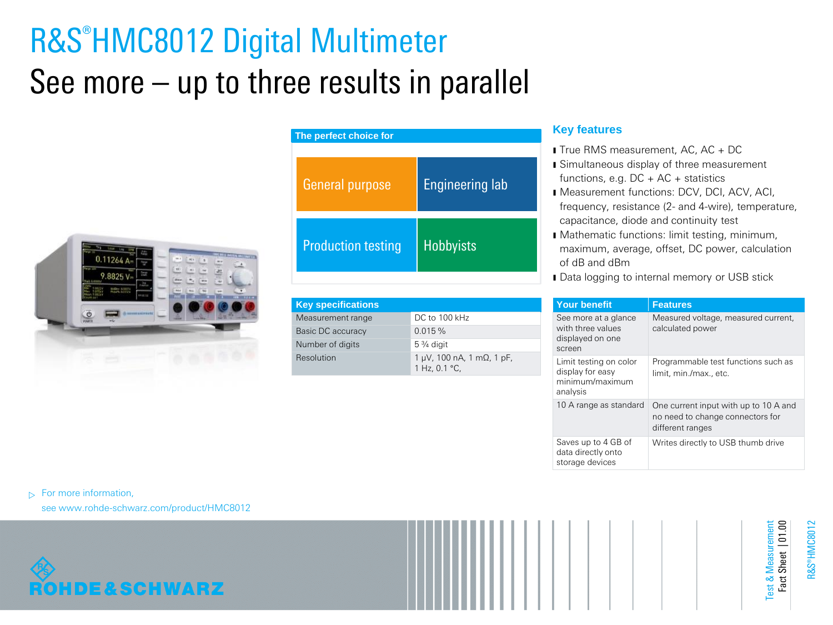# R&S®HMC8012 Digital Multimeter See more – up to three results in parallel



| The perfect choice for    |                        |  |  |
|---------------------------|------------------------|--|--|
| <b>General purpose</b>    | <b>Engineering lab</b> |  |  |
| <b>Production testing</b> | <b>Hobbyists</b>       |  |  |

| <b>Key specifications</b> |                                                           |
|---------------------------|-----------------------------------------------------------|
| Measurement range         | DC to 100 kHz                                             |
| Basic DC accuracy         | 0.015%                                                    |
| Number of digits          | $5\frac{3}{4}$ digit                                      |
| Resolution                | $1 \mu V$ , 100 nA, 1 m $\Omega$ , 1 pF,<br>1 Hz, 0.1 °C, |

# **Key features**

- **I** True RMS measurement, AC, AC + DC
- **I** Simultaneous display of three measurement functions, e.g.  $DC + AC +$  statistics
- ı Measurement functions: DCV, DCI, ACV, ACI, frequency, resistance (2- and 4-wire), temperature, capacitance, diode and continuity test
- ı Mathematic functions: limit testing, minimum, maximum, average, offset, DC power, calculation of dB and dBm
- **I** Data logging to internal memory or USB stick

| <b>Your benefit</b>                                                       | <b>Features</b>                                                                               |
|---------------------------------------------------------------------------|-----------------------------------------------------------------------------------------------|
| See more at a glance<br>with three values<br>displayed on one<br>screen   | Measured voltage, measured current,<br>calculated power                                       |
| Limit testing on color<br>display for easy<br>minimum/maximum<br>analysis | Programmable test functions such as<br>limit, min./max., etc.                                 |
| 10 A range as standard                                                    | One current input with up to 10 A and<br>no need to change connectors for<br>different ranges |
| Saves up to 4 GB of<br>data directly onto<br>storage devices              | Writes directly to USB thumb drive                                                            |

 $\triangleright$  For more information,

see www.rohde-schwarz.com/product/HMC8012



R&S®HMC8012

Test & Measurement Fact Sheet | 01.00

Fact Sheet | 01.00 est & Measuremer